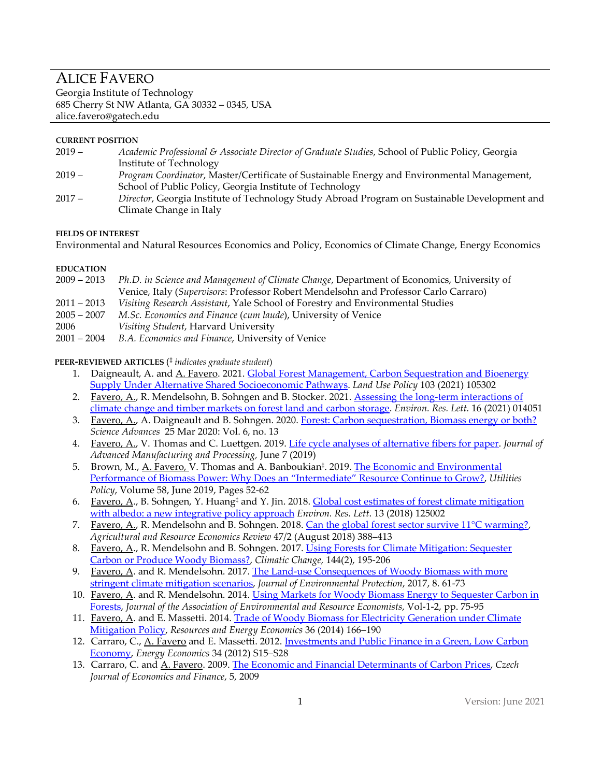# ALICE FAVERO

Georgia Institute of Technology 685 Cherry St NW Atlanta, GA 30332 – 0345, USA alice.favero@gatech.edu

## **CURRENT POSITION**

- 2019 *Academic Professional & Associate Director of Graduate Studies*, School of Public Policy, Georgia Institute of Technology
- 2019 *Program Coordinator*, Master/Certificate of Sustainable Energy and Environmental Management, School of Public Policy, Georgia Institute of Technology
- 2017 *Director*, Georgia Institute of Technology Study Abroad Program on Sustainable Development and Climate Change in Italy

#### **FIELDS OF INTEREST**

Environmental and Natural Resources Economics and Policy, Economics of Climate Change, Energy Economics

## **EDUCATION**

| 2009 – 2013 | Ph.D. in Science and Management of Climate Change, Department of Economics, University of |
|-------------|-------------------------------------------------------------------------------------------|
|             | Venice, Italy (Supervisors: Professor Robert Mendelsohn and Professor Carlo Carraro)      |
| 2011 – 2013 | Visiting Research Assistant, Yale School of Forestry and Environmental Studies            |
| 2005 – 2007 | M.Sc. Economics and Finance (cum laude), University of Venice                             |
|             |                                                                                           |

- 2006 *Visiting Student*, Harvard University
- 2001 2004 *B.A. Economics and Finance*, University of Venice

## **PEER-REVIEWED ARTICLES** (‡ *indicates graduate student*)

- 1. Daigneault, A. and A. Favero. 2021. Global Forest Management, Carbon Sequestration and Bioenergy [Supply Under Alternative Shared Socioeconomic Pathways.](https://www.sciencedirect.com/science/article/pii/S0264837721000259?dgcid=author) *Land Use Policy* 103 (2021) 105302
- 2. Favero, A., R. Mendelsohn, B. Sohngen and B. Stocker. 2021. Assessing the long-term interactions of [climate change and timber markets on forest land and carbon storage.](https://iopscience.iop.org/article/10.1088/1748-9326/abd589) *Environ. Res. Lett.* 16 (2021) 014051
- 3. Favero, A., A. Daigneault and B. Sohngen. 2020[. Forest: Carbon sequestration, Biomass energy or both?](https://advances.sciencemag.org/content/6/13/eaay6792) *Science Advances* 25 Mar 2020: Vol. 6, no. 13
- 4. Favero, A., V. Thomas and C. Luettgen. 2019[. Life cycle analyses of alternative fibers for paper.](https://aiche.onlinelibrary.wiley.com/doi/abs/10.1002/amp2.10023) *Journal of Advanced Manufacturing and Processing,* June 7 (2019)
- 5. Brown, M., A. Favero, V. Thomas and A. Banboukian<sup>‡</sup>. 2019. The Economic and Environmental [Performance of Biomass Power: Why Does an "Intermediate" Resource Continue to Grow?,](https://www.sciencedirect.com/science/article/pii/S0957178718302662?dgcid=author) *Utilities Policy*, Volume 58, June 2019, Pages 52-62
- 6. Favero, A., B. Sohngen, Y. Huang<sup>†</sup> and Y. Jin. 2018. Global cost estimates of forest climate mitigation [with albedo: a new integrative policy approach](http://iopscience.iop.org/article/10.1088/1748-9326/aaeaa2/pdf) *Environ. Res. Lett*. 13 (2018) 125002
- 7. Favero, A., R. Mendelsohn and B. Sohngen. 2018. [Can the global forest sector survive 11°C warming?,](https://www.cambridge.org/core/services/aop-cambridge-core/content/view/9D14E3E121F09A0596A1BEDFE316F414/S1068280518000151a.pdf/can_the_global_forest_sector_survive_11_c_warming.pdf)  *Agricultural and Resource Economics Review* 47/2 (August 2018) 388–413
- 8. Favero, A., R. Mendelsohn and B. Sohngen. 2017. Using Forests for Climate Mitigation: Sequester [Carbon or Produce Woody Biomass?,](https://link.springer.com/article/10.1007/s10584-017-2034-9) *Climatic Change,* 144(2), 195-206
- 9. Favero, A. and R. Mendelsohn. 2017. The Land-use Consequences of Woody Biomass with more [stringent climate mitigation scenarios,](https://file.scirp.org/pdf/JEP_2017012413434948.pdf) *Journal of Environmental Protection*, 2017, 8. 61-73
- 10. Favero, A. and R. Mendelsohn. 2014. [Using Markets for Woody Biomass Energy to Sequester Carbon in](https://www.jstor.org/stable/10.1086/676033?seq=1#metadata_info_tab_contents)  [Forests,](https://www.jstor.org/stable/10.1086/676033?seq=1#metadata_info_tab_contents) *Journal of the Association of Environmental and Resource Economists*, Vol-1-2, pp. 75-95
- 11. Favero, A. and E. Massetti. 2014. Trade of Woody Biomass for Electricity Generation under Climate [Mitigation Policy,](https://www.sciencedirect.com/science/article/pii/S0928765513000808) *Resources and Energy Economics* 36 (2014) 166–190
- 12. Carraro, C., A. Favero and E. Massetti. 2012. Investments and Public Finance in a Green, Low Carbon [Economy,](https://www.sciencedirect.com/science/article/pii/S014098831200206X) *Energy Economics* 34 (2012) S15–S28
- 13. Carraro, C. and A. Favero. 2009. [The Economic and Financial Determinants of Carbon Prices,](http://journal.fsv.cuni.cz/storage/1166_str_396_409.pdf) *Czech Journal of Economics and Finance*, 5, 2009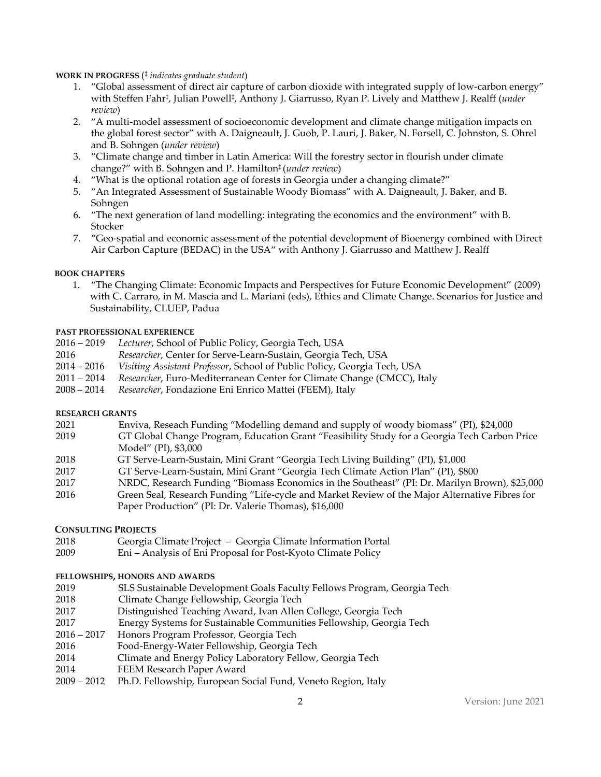**WORK IN PROGRESS** (‡ *indicates graduate student*)

- 1. "Global assessment of direct air capture of carbon dioxide with integrated supply of low-carbon energy" with Steffen Fahr‡, Julian Powell‡, Anthony J. Giarrusso, Ryan P. Lively and Matthew J. Realff (*under review*)
- 2. "A multi-model assessment of socioeconomic development and climate change mitigation impacts on the global forest sector" with A. Daigneault, J. Guob, P. Lauri, J. Baker, N. Forsell, C. Johnston, S. Ohrel and B. Sohngen (*under review*)
- 3. "Climate change and timber in Latin America: Will the forestry sector in flourish under climate change?" with B. Sohngen and P. Hamilton‡ (*under review*)
- 4. "What is the optional rotation age of forests in Georgia under a changing climate?"
- 5. "An Integrated Assessment of Sustainable Woody Biomass" with A. Daigneault, J. Baker, and B. Sohngen
- 6. "The next generation of land modelling: integrating the economics and the environment" with B. Stocker
- 7. "Geo-spatial and economic assessment of the potential development of Bioenergy combined with Direct Air Carbon Capture (BEDAC) in the USA" with Anthony J. Giarrusso and Matthew J. Realff

## **BOOK CHAPTERS**

1. "The Changing Climate: Economic Impacts and Perspectives for Future Economic Development" (2009) with C. Carraro, in M. Mascia and L. Mariani (eds), Ethics and Climate Change. Scenarios for Justice and Sustainability, CLUEP, Padua

## **PAST PROFESSIONAL EXPERIENCE**

- 2016 2019 *Lecturer*, School of Public Policy, Georgia Tech, USA
- 2016 *Researcher*, Center for Serve-Learn-Sustain, Georgia Tech, USA
- 2014 2016 *Visiting Assistant Professor*, School of Public Policy, Georgia Tech, USA
- 2011 2014 *Researcher*, Euro-Mediterranean Center for Climate Change (CMCC), Italy
- 2008 2014 *Researcher*, Fondazione Eni Enrico Mattei (FEEM), Italy

#### **RESEARCH GRANTS**

- 2021 Enviva, Reseach Funding "Modelling demand and supply of woody biomass" (PI), \$24,000
- 2019 GT Global Change Program, Education Grant "Feasibility Study for a Georgia Tech Carbon Price Model" (PI), \$3,000
- 2018 GT Serve-Learn-Sustain, Mini Grant "Georgia Tech Living Building" (PI), \$1,000
- 2017 GT Serve-Learn-Sustain, Mini Grant "Georgia Tech Climate Action Plan" (PI), \$800
- 2017 NRDC, Research Funding "Biomass Economics in the Southeast" (PI: Dr. Marilyn Brown), \$25,000
- 2016 Green Seal, Research Funding "Life-cycle and Market Review of the Major Alternative Fibres for Paper Production" (PI: Dr. Valerie Thomas), \$16,000

#### **CONSULTING PROJECTS**

- 2018 Georgia Climate Project Georgia Climate Information Portal
- 2009 Eni Analysis of Eni Proposal for Post-Kyoto Climate Policy

#### **FELLOWSHIPS, HONORS AND AWARDS**

- 2019 SLS Sustainable Development Goals Faculty Fellows Program, Georgia Tech
- 2018 Climate Change Fellowship, Georgia Tech
- 2017 Distinguished Teaching Award, Ivan Allen College, Georgia Tech
- 2017 Energy Systems for Sustainable Communities Fellowship, Georgia Tech
- 2016 2017 Honors Program Professor, Georgia Tech
- 2016 Food-Energy-Water Fellowship, Georgia Tech
- 2014 Climate and Energy Policy Laboratory Fellow, Georgia Tech
- 2014 FEEM Research Paper Award
- 2009 2012 Ph.D. Fellowship, European Social Fund, Veneto Region, Italy